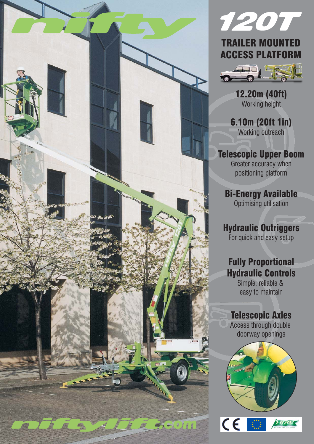





12.20m (40ft) Working height

6.10m (20ft 1in) Working outreach

Telescopic Upper Boom Greater accuracy when positioning platform

Bi-Energy Available Optimising utilisation

Hydraulic Outriggers For quick and easy setup

# Fully Proportional Hydraulic Controls

Simple, reliable & easy to maintain

## Telescopic Axles

Access through double doorway openings